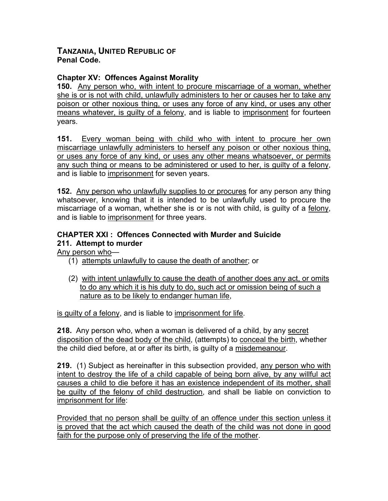## **TANZANIA, UNITED REPUBLIC OF Penal Code.**

## **Chapter XV: Offences Against Morality**

**150.** Any person who, with intent to procure miscarriage of a woman, whether she is or is not with child, unlawfully administers to her or causes her to take any poison or other noxious thing, or uses any force of any kind, or uses any other means whatever, is guilty of a felony, and is liable to imprisonment for fourteen years.

**151.** Every woman being with child who with intent to procure her own miscarriage unlawfully administers to herself any poison or other noxious thing, or uses any force of any kind, or uses any other means whatsoever, or permits any such thing or means to be administered or used to her, is guilty of a felony, and is liable to imprisonment for seven years.

**152.** Any person who unlawfully supplies to or procures for any person any thing whatsoever, knowing that it is intended to be unlawfully used to procure the miscarriage of a woman, whether she is or is not with child, is guilty of a felony, and is liable to imprisonment for three years.

## **CHAPTER XXI : Offences Connected with Murder and Suicide 211. Attempt to murder**

Any person who—

- (1) attempts unlawfully to cause the death of another; or
- (2) with intent unlawfully to cause the death of another does any act, or omits to do any which it is his duty to do, such act or omission being of such a nature as to be likely to endanger human life,

is guilty of a felony, and is liable to imprisonment for life.

**218.** Any person who, when a woman is delivered of a child, by any secret disposition of the dead body of the child, (attempts) to conceal the birth, whether the child died before, at or after its birth, is guilty of a misdemeanour.

**219.** (1) Subject as hereinafter in this subsection provided, any person who with intent to destroy the life of a child capable of being born alive, by any willful act causes a child to die before it has an existence independent of its mother, shall be guilty of the felony of child destruction, and shall be liable on conviction to imprisonment for life:

Provided that no person shall be guilty of an offence under this section unless it is proved that the act which caused the death of the child was not done in good faith for the purpose only of preserving the life of the mother.